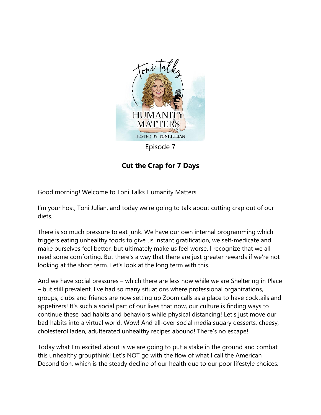

**Cut the Crap for 7 Days**

Good morning! Welcome to Toni Talks Humanity Matters.

I'm your host, Toni Julian, and today we're going to talk about cutting crap out of our diets.

There is so much pressure to eat junk. We have our own internal programming which triggers eating unhealthy foods to give us instant gratification, we self-medicate and make ourselves feel better, but ultimately make us feel worse. I recognize that we all need some comforting. But there's a way that there are just greater rewards if we're not looking at the short term. Let's look at the long term with this.

And we have social pressures – which there are less now while we are Sheltering in Place – but still prevalent. I've had so many situations where professional organizations, groups, clubs and friends are now setting up Zoom calls as a place to have cocktails and appetizers! It's such a social part of our lives that now, our culture is finding ways to continue these bad habits and behaviors while physical distancing! Let's just move our bad habits into a virtual world. Wow! And all-over social media sugary desserts, cheesy, cholesterol laden, adulterated unhealthy recipes abound! There's no escape!

Today what I'm excited about is we are going to put a stake in the ground and combat this unhealthy groupthink! Let's NOT go with the flow of what I call the American Decondition, which is the steady decline of our health due to our poor lifestyle choices.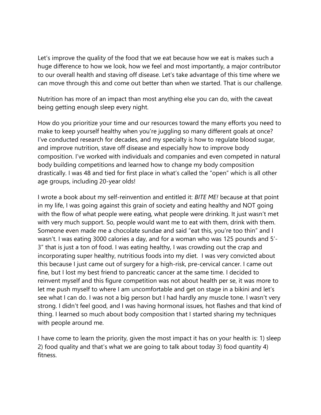Let's improve the quality of the food that we eat because how we eat is makes such a huge difference to how we look, how we feel and most importantly, a major contributor to our overall health and staving off disease. Let's take advantage of this time where we can move through this and come out better than when we started. That is our challenge.

Nutrition has more of an impact than most anything else you can do, with the caveat being getting enough sleep every night.

How do you prioritize your time and our resources toward the many efforts you need to make to keep yourself healthy when you're juggling so many different goals at once? I've conducted research for decades, and my specialty is how to regulate blood sugar, and improve nutrition, stave off disease and especially how to improve body composition. I've worked with individuals and companies and even competed in natural body building competitions and learned how to change my body composition drastically. I was 48 and tied for first place in what's called the "open" which is all other age groups, including 20-year olds!

I wrote a book about my self-reinvention and entitled it: *BITE ME!* because at that point in my life, I was going against this grain of society and eating healthy and NOT going with the flow of what people were eating, what people were drinking. It just wasn't met with very much support. So, people would want me to eat with them, drink with them. Someone even made me a chocolate sundae and said "eat this, you're too thin" and I wasn't. I was eating 3000 calories a day, and for a woman who was 125 pounds and 5'- 3" that is just a ton of food. I was eating healthy, I was crowding out the crap and incorporating super healthy, nutritious foods into my diet. I was very convicted about this because I just came out of surgery for a high-risk, pre-cervical cancer. I came out fine, but I lost my best friend to pancreatic cancer at the same time. I decided to reinvent myself and this figure competition was not about health per se, it was more to let me push myself to where I am uncomfortable and get on stage in a bikini and let's see what I can do. I was not a big person but I had hardly any muscle tone. I wasn't very strong. I didn't feel good, and I was having hormonal issues, hot flashes and that kind of thing. I learned so much about body composition that I started sharing my techniques with people around me.

I have come to learn the priority, given the most impact it has on your health is: 1) sleep 2) food quality and that's what we are going to talk about today 3) food quantity 4) fitness.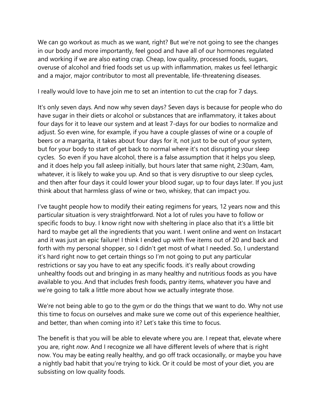We can go workout as much as we want, right? But we're not going to see the changes in our body and more importantly, feel good and have all of our hormones regulated and working if we are also eating crap. Cheap, low quality, processed foods, sugars, overuse of alcohol and fried foods set us up with inflammation, makes us feel lethargic and a major, major contributor to most all preventable, life-threatening diseases.

I really would love to have join me to set an intention to cut the crap for 7 days.

It's only seven days. And now why seven days? Seven days is because for people who do have sugar in their diets or alcohol or substances that are inflammatory, it takes about four days for it to leave our system and at least 7-days for our bodies to normalize and adjust. So even wine, for example, if you have a couple glasses of wine or a couple of beers or a margarita, it takes about four days for it, not just to be out of your system, but for your body to start of get back to normal where it's not disrupting your sleep cycles. So even if you have alcohol, there is a false assumption that it helps you sleep, and it does help you fall asleep initially, but hours later that same night, 2:30am, 4am, whatever, it is likely to wake you up. And so that is very disruptive to our sleep cycles, and then after four days it could lower your blood sugar, up to four days later. If you just think about that harmless glass of wine or two, whiskey, that can impact you.

I've taught people how to modify their eating regimens for years, 12 years now and this particular situation is very straightforward. Not a lot of rules you have to follow or specific foods to buy. I know right now with sheltering in place also that it's a little bit hard to maybe get all the ingredients that you want. I went online and went on Instacart and it was just an epic failure! I think I ended up with five items out of 20 and back and forth with my personal shopper, so I didn't get most of what I needed. So, I understand it's hard right now to get certain things so I'm not going to put any particular restrictions or say you have to eat any specific foods. it's really about crowding unhealthy foods out and bringing in as many healthy and nutritious foods as you have available to you. And that includes fresh foods, pantry items, whatever you have and we're going to talk a little more about how we actually integrate those.

We're not being able to go to the gym or do the things that we want to do. Why not use this time to focus on ourselves and make sure we come out of this experience healthier, and better, than when coming into it? Let's take this time to focus.

The benefit is that you will be able to elevate where you are. I repeat that, elevate where you are, right *now*. And I recognize we all have different levels of where that is right now. You may be eating really healthy, and go off track occasionally, or maybe you have a nightly bad habit that you're trying to kick. Or it could be most of your diet, you are subsisting on low quality foods.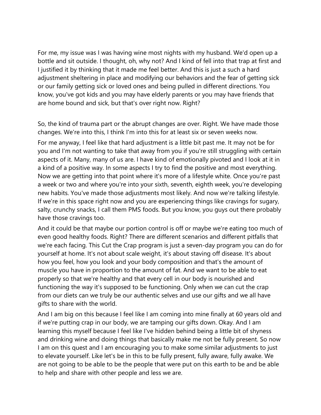For me, my issue was I was having wine most nights with my husband. We'd open up a bottle and sit outside. I thought, oh, why not? And I kind of fell into that trap at first and I justified it by thinking that it made me feel better. And this is just a such a hard adjustment sheltering in place and modifying our behaviors and the fear of getting sick or our family getting sick or loved ones and being pulled in different directions. You know, you've got kids and you may have elderly parents or you may have friends that are home bound and sick, but that's over right now. Right?

So, the kind of trauma part or the abrupt changes are over. Right. We have made those changes. We're into this, I think I'm into this for at least six or seven weeks now.

For me anyway, I feel like that hard adjustment is a little bit past me. It may not be for you and I'm not wanting to take that away from you if you're still struggling with certain aspects of it. Many, many of us are. I have kind of emotionally pivoted and I look at it in a kind of a positive way. In some aspects I try to find the positive and most everything. Now we are getting into that point where it's more of a lifestyle white. Once you're past a week or two and where you're into your sixth, seventh, eighth week, you're developing new habits. You've made those adjustments most likely. And now we're talking lifestyle. If we're in this space right now and you are experiencing things like cravings for sugary, salty, crunchy snacks, I call them PMS foods. But you know, you guys out there probably have those cravings too.

And it could be that maybe our portion control is off or maybe we're eating too much of even good healthy foods. Right? There are different scenarios and different pitfalls that we're each facing. This Cut the Crap program is just a seven-day program you can do for yourself at home. It's not about scale weight, it's about staving off disease. It's about how you feel, how you look and your body composition and that's the amount of muscle you have in proportion to the amount of fat. And we want to be able to eat properly so that we're healthy and that every cell in our body is nourished and functioning the way it's supposed to be functioning. Only when we can cut the crap from our diets can we truly be our authentic selves and use our gifts and we all have gifts to share with the world.

And I am big on this because I feel like I am coming into mine finally at 60 years old and if we're putting crap in our body, we are tamping our gifts down. Okay. And I am learning this myself because I feel like I've hidden behind being a little bit of shyness and drinking wine and doing things that basically make me not be fully present. So now I am on this quest and I am encouraging you to make some similar adjustments to just to elevate yourself. Like let's be in this to be fully present, fully aware, fully awake. We are not going to be able to be the people that were put on this earth to be and be able to help and share with other people and less we are.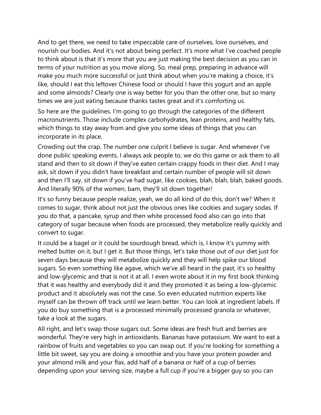And to get there, we need to take impeccable care of ourselves, love ourselves, and nourish our bodies. And it's not about being perfect. It's more what I've coached people to think about is that it's more that you are just making the best decision as you can in terms of your nutrition as you move along. So, meal prep, preparing in advance will make you much more successful or just think about when you're making a choice, it's like, should I eat this leftover Chinese food or should I have this yogurt and an apple and some almonds? Clearly one is way better for you than the other one, but so many times we are just eating because thanks tastes great and it's comforting us.

So here are the guidelines. I'm going to go through the categories of the different macronutrients. Those include complex carbohydrates, lean proteins, and healthy fats, which things to stay away from and give you some ideas of things that you can incorporate in its place.

Crowding out the crap. The number one culprit I believe is sugar. And whenever I've done public speaking events, I always ask people to, we do this game or ask them to all stand and then to sit down if they've eaten certain crappy foods in their diet. And I may ask, sit down if you didn't have breakfast and certain number of people will sit down and then I'll say, sit down if you've had sugar, like cookies, blah, blah, blah, baked goods. And literally 90% of the women, bam, they'll sit down together!

It's so funny because people realize, yeah, we do all kind of do this, don't we? When it comes to sugar, think about not just the obvious ones like cookies and sugary sodas. If you do that, a pancake, syrup and then white processed food also can go into that category of sugar because when foods are processed, they metabolize really quickly and convert to sugar.

It could be a bagel or it could be sourdough bread, which is, I know it's yummy with melted butter on it, but I get it. But those things, let's take those out of our diet just for seven days because they will metabolize quickly and they will help spike our blood sugars. So even something like agave, which we've all heard in the past, it's so healthy and low-glycemic and that is not it at all. I even wrote about it in my first book thinking that it was healthy and everybody did it and they promoted it as being a low-glycemic product and it absolutely was not the case. So even educated nutrition experts like myself can be thrown off track until we learn better. You can look at ingredient labels. If you do buy something that is a processed minimally processed granola or whatever, take a look at the sugars.

All right, and let's swap those sugars out. Some ideas are fresh fruit and berries are wonderful. They're very high in antioxidants. Bananas have potassium. We want to eat a rainbow of fruits and vegetables so you can swap out. If you're looking for something a little bit sweet, say you are doing a smoothie and you have your protein powder and your almond milk and your flax, add half of a banana or half of a cup of berries depending upon your serving size, maybe a full cup if you're a bigger guy so you can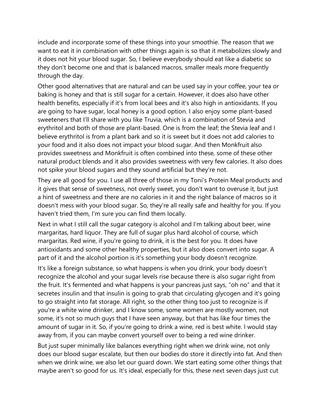include and incorporate some of these things into your smoothie. The reason that we want to eat it in combination with other things again is so that it metabolizes slowly and it does not hit your blood sugar. So, I believe everybody should eat like a diabetic so they don't become one and that is balanced macros, smaller meals more frequently through the day.

Other good alternatives that are natural and can be used say in your coffee, your tea or baking is honey and that is still sugar for a certain. However, it does also have other health benefits, especially if it's from local bees and it's also high in antioxidants. If you are going to have sugar, local honey is a good option. I also enjoy some plant-based sweeteners that I'll share with you like Truvia, which is a combination of Stevia and erythritol and both of those are plant-based. One is from the leaf; the Stevia leaf and I believe erythritol is from a plant bark and so it is sweet but it does not add calories to your food and it also does not impact your blood sugar. And then Monkfruit also provides sweetness and Monkfruit is often combined into these, some of these other natural product blends and it also provides sweetness with very few calories. It also does not spike your blood sugars and they sound artificial but they're not.

They are all good for you. I use all three of those in my Toni's Protein Meal products and it gives that sense of sweetness, not overly sweet, you don't want to overuse it, but just a hint of sweetness and there are no calories in it and the right balance of macros so it doesn't mess with your blood sugar. So, they're all really safe and healthy for you. If you haven't tried them, I'm sure you can find them locally.

Next in what I still call the sugar category is alcohol and I'm talking about beer, wine margaritas, hard liquor. They are full of sugar plus hard alcohol of course, which margaritas. Red wine, if you're going to drink, it is the best for you. It does have antioxidants and some other healthy properties, but it also does convert into sugar. A part of it and the alcohol portion is it's something your body doesn't recognize.

It's like a foreign substance, so what happens is when you drink, your body doesn't recognize the alcohol and your sugar levels rise because there is also sugar right from the fruit. It's fermented and what happens is your pancreas just says, "oh no" and that it secretes insulin and that insulin is going to grab that circulating glycogen and it's going to go straight into fat storage. All right, so the other thing too just to recognize is if you're a white wine drinker, and I know some, some women are mostly women, not some, it's not so much guys that I have seen anyway, but that has like four times the amount of sugar in it. So, if you're going to drink a wine, red is best white. I would stay away from, if you can maybe convert yourself over to being a red wine drinker.

But just super minimally like balances everything right when we drink wine, not only does our blood sugar escalate, but then our bodies do store it directly into fat. And then when we drink wine, we also let our guard down. We start eating some other things that maybe aren't so good for us. It's ideal, especially for this, these next seven days just cut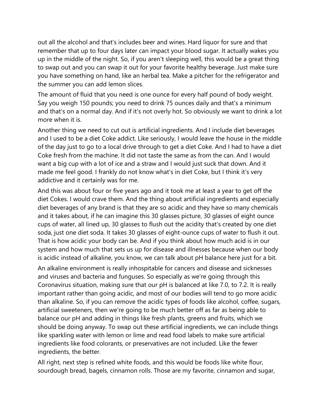out all the alcohol and that's includes beer and wines. Hard liquor for sure and that remember that up to four days later can impact your blood sugar. It actually wakes you up in the middle of the night. So, if you aren't sleeping well, this would be a great thing to swap out and you can swap it out for your favorite healthy beverage. Just make sure you have something on hand, like an herbal tea. Make a pitcher for the refrigerator and the summer you can add lemon slices.

The amount of fluid that you need is one ounce for every half pound of body weight. Say you weigh 150 pounds; you need to drink 75 ounces daily and that's a minimum and that's on a normal day. And if it's not overly hot. So obviously we want to drink a lot more when it is.

Another thing we need to cut out is artificial ingredients. And I include diet beverages and I used to be a diet Coke addict. Like seriously, I would leave the house in the middle of the day just to go to a local drive through to get a diet Coke. And I had to have a diet Coke fresh from the machine. It did not taste the same as from the can. And I would want a big cup with a lot of ice and a straw and I would just suck that down. And it made me feel good. I frankly do not know what's in diet Coke, but I think it's very addictive and it certainly was for me.

And this was about four or five years ago and it took me at least a year to get off the diet Cokes. I would crave them. And the thing about artificial ingredients and especially diet beverages of any brand is that they are so acidic and they have so many chemicals and it takes about, if he can imagine this 30 glasses picture, 30 glasses of eight ounce cups of water, all lined up, 30 glasses to flush out the acidity that's created by one diet soda, just one diet soda. It takes 30 glasses of eight-ounce cups of water to flush it out. That is how acidic your body can be. And if you think about how much acid is in our system and how much that sets us up for disease and illnesses because when our body is acidic instead of alkaline, you know, we can talk about pH balance here just for a bit.

An alkaline environment is really inhospitable for cancers and disease and sicknesses and viruses and bacteria and funguses. So especially as we're going through this Coronavirus situation, making sure that our pH is balanced at like 7.0, to 7.2. It is really important rather than going acidic, and most of our bodies will tend to go more acidic than alkaline. So, if you can remove the acidic types of foods like alcohol, coffee, sugars, artificial sweeteners, then we're going to be much better off as far as being able to balance our pH and adding in things like fresh plants, greens and fruits, which we should be doing anyway. To swap out these artificial ingredients, we can include things like sparkling water with lemon or lime and read food labels to make sure artificial ingredients like food colorants, or preservatives are not included. Like the fewer ingredients, the better.

All right, next step is refined white foods, and this would be foods like white flour, sourdough bread, bagels, cinnamon rolls. Those are my favorite, cinnamon and sugar,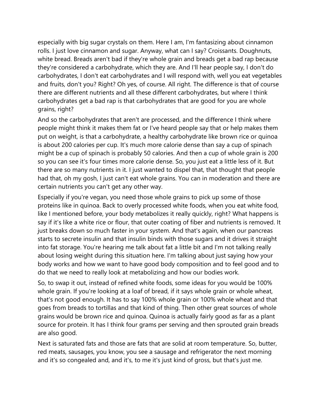especially with big sugar crystals on them. Here I am, I'm fantasizing about cinnamon rolls. I just love cinnamon and sugar. Anyway, what can I say? Croissants. Doughnuts, white bread. Breads aren't bad if they're whole grain and breads get a bad rap because they're considered a carbohydrate, which they are. And I'll hear people say, I don't do carbohydrates, I don't eat carbohydrates and I will respond with, well you eat vegetables and fruits, don't you? Right? Oh yes, of course. All right. The difference is that of course there are different nutrients and all these different carbohydrates, but where I think carbohydrates get a bad rap is that carbohydrates that are good for you are whole grains, right?

And so the carbohydrates that aren't are processed, and the difference I think where people might think it makes them fat or I've heard people say that or help makes them put on weight, is that a carbohydrate, a healthy carbohydrate like brown rice or quinoa is about 200 calories per cup. It's much more calorie dense than say a cup of spinach might be a cup of spinach is probably 50 calories. And then a cup of whole grain is 200 so you can see it's four times more calorie dense. So, you just eat a little less of it. But there are so many nutrients in it. I just wanted to dispel that, that thought that people had that, oh my gosh, I just can't eat whole grains. You can in moderation and there are certain nutrients you can't get any other way.

Especially if you're vegan, you need those whole grains to pick up some of those proteins like in quinoa. Back to overly processed white foods, when you eat white food, like I mentioned before, your body metabolizes it really quickly, right? What happens is say if it's like a white rice or flour, that outer coating of fiber and nutrients is removed. It just breaks down so much faster in your system. And that's again, when our pancreas starts to secrete insulin and that insulin binds with those sugars and it drives it straight into fat storage. You're hearing me talk about fat a little bit and I'm not talking really about losing weight during this situation here. I'm talking about just saying how your body works and how we want to have good body composition and to feel good and to do that we need to really look at metabolizing and how our bodies work.

So, to swap it out, instead of refined white foods, some ideas for you would be 100% whole grain. If you're looking at a loaf of bread, if it says whole grain or whole wheat, that's not good enough. It has to say 100% whole grain or 100% whole wheat and that goes from breads to tortillas and that kind of thing. Then other great sources of whole grains would be brown rice and quinoa. Quinoa is actually fairly good as far as a plant source for protein. It has I think four grams per serving and then sprouted grain breads are also good.

Next is saturated fats and those are fats that are solid at room temperature. So, butter, red meats, sausages, you know, you see a sausage and refrigerator the next morning and it's so congealed and, and it's, to me it's just kind of gross, but that's just me.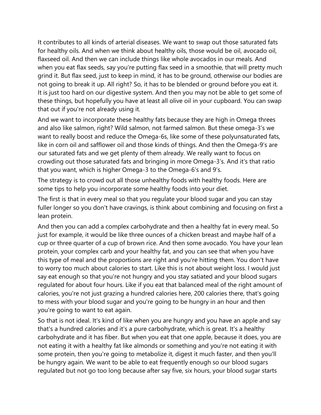It contributes to all kinds of arterial diseases. We want to swap out those saturated fats for healthy oils. And when we think about healthy oils, those would be oil, avocado oil, flaxseed oil. And then we can include things like whole avocados in our meals. And when you eat flax seeds, say you're putting flax seed in a smoothie, that will pretty much grind it. But flax seed, just to keep in mind, it has to be ground, otherwise our bodies are not going to break it up. All right? So, it has to be blended or ground before you eat it. It is just too hard on our digestive system. And then you may not be able to get some of these things, but hopefully you have at least all olive oil in your cupboard. You can swap that out if you're not already using it.

And we want to incorporate these healthy fats because they are high in Omega threes and also like salmon, right? Wild salmon, not farmed salmon. But these omega-3's we want to really boost and reduce the Omega-6s, like some of these polyunsaturated fats, like in corn oil and safflower oil and those kinds of things. And then the Omega-9's are our saturated fats and we get plenty of them already. We really want to focus on crowding out those saturated fats and bringing in more Omega-3's. And it's that ratio that you want, which is higher Omega-3 to the Omega-6's and 9's.

The strategy is to crowd out all those unhealthy foods with healthy foods. Here are some tips to help you incorporate some healthy foods into your diet.

The first is that in every meal so that you regulate your blood sugar and you can stay fuller longer so you don't have cravings, is think about combining and focusing on first a lean protein.

And then you can add a complex carbohydrate and then a healthy fat in every meal. So just for example, it would be like three ounces of a chicken breast and maybe half of a cup or three quarter of a cup of brown rice. And then some avocado. You have your lean protein, your complex carb and your healthy fat, and you can see that when you have this type of meal and the proportions are right and you're hitting them. You don't have to worry too much about calories to start. Like this is not about weight loss. I would just say eat enough so that you're not hungry and you stay satiated and your blood sugars regulated for about four hours. Like if you eat that balanced meal of the right amount of calories, you're not just grazing a hundred calories here, 200 calories there, that's going to mess with your blood sugar and you're going to be hungry in an hour and then you're going to want to eat again.

So that is not ideal. It's kind of like when you are hungry and you have an apple and say that's a hundred calories and it's a pure carbohydrate, which is great. It's a healthy carbohydrate and it has fiber. But when you eat that one apple, because it does, you are not eating it with a healthy fat like almonds or something and you're not eating it with some protein, then you're going to metabolize it, digest it much faster, and then you'll be hungry again. We want to be able to eat frequently enough so our blood sugars regulated but not go too long because after say five, six hours, your blood sugar starts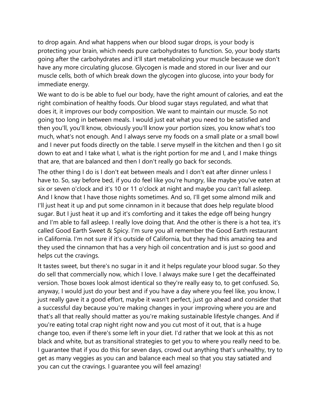to drop again. And what happens when our blood sugar drops, is your body is protecting your brain, which needs pure carbohydrates to function. So, your body starts going after the carbohydrates and it'll start metabolizing your muscle because we don't have any more circulating glucose. Glycogen is made and stored in our liver and our muscle cells, both of which break down the glycogen into glucose, into your body for immediate energy.

We want to do is be able to fuel our body, have the right amount of calories, and eat the right combination of healthy foods. Our blood sugar stays regulated, and what that does it, it improves our body composition. We want to maintain our muscle. So not going too long in between meals. I would just eat what you need to be satisfied and then you'll, you'll know, obviously you'll know your portion sizes, you know what's too much, what's not enough. And I always serve my foods on a small plate or a small bowl and I never put foods directly on the table. I serve myself in the kitchen and then I go sit down to eat and I take what I, what is the right portion for me and I, and I make things that are, that are balanced and then I don't really go back for seconds.

The other thing I do is I don't eat between meals and I don't eat after dinner unless I have to. So, say before bed, if you do feel like you're hungry, like maybe you've eaten at six or seven o'clock and it's 10 or 11 o'clock at night and maybe you can't fall asleep. And I know that I have those nights sometimes. And so, I'll get some almond milk and I'll just heat it up and put some cinnamon in it because that does help regulate blood sugar. But I just heat it up and it's comforting and it takes the edge off being hungry and I'm able to fall asleep. I really love doing that. And the other is there is a hot tea, it's called Good Earth Sweet & Spicy. I'm sure you all remember the Good Earth restaurant in California. I'm not sure if it's outside of California, but they had this amazing tea and they used the cinnamon that has a very high oil concentration and is just so good and helps cut the cravings.

It tastes sweet, but there's no sugar in it and it helps regulate your blood sugar. So they do sell that commercially now, which I love. I always make sure I get the decaffeinated version. Those boxes look almost identical so they're really easy to, to get confused. So, anyway, I would just do your best and if you have a day where you feel like, you know, I just really gave it a good effort, maybe it wasn't perfect, just go ahead and consider that a successful day because you're making changes in your improving where you are and that's all that really should matter as you're making sustainable lifestyle changes. And if you're eating total crap night right now and you cut most of it out, that is a huge change too, even if there's some left in your diet. I'd rather that we look at this as not black and white, but as transitional strategies to get you to where you really need to be. I guarantee that if you do this for seven days, crowd out anything that's unhealthy, try to get as many veggies as you can and balance each meal so that you stay satiated and you can cut the cravings. I guarantee you will feel amazing!